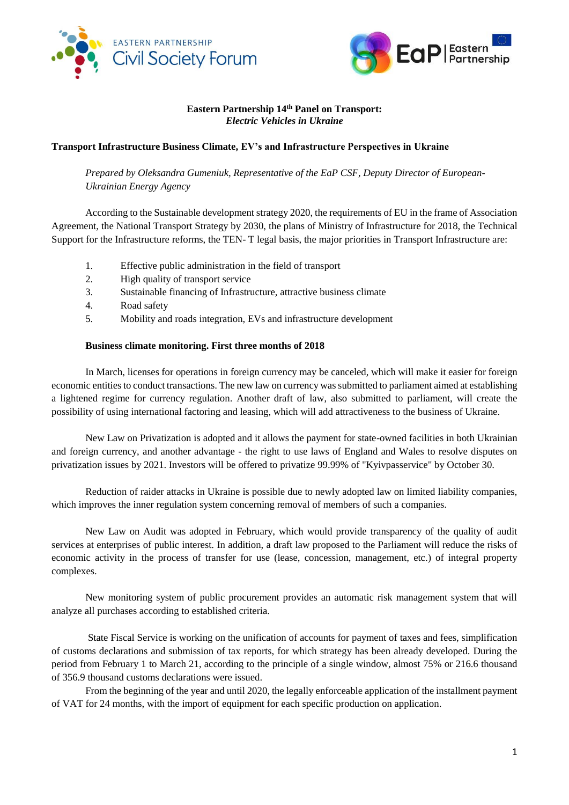



### **Eastern Partnership 14th Panel on Transport:** *Electric Vehicles in Ukraine*

## **Transport Infrastructure Business Climate, EV's and Infrastructure Perspectives in Ukraine**

*Prepared by Oleksandra Gumeniuk, Representative of the EaP CSF, Deputy Director of European-Ukrainian Energy Agency*

According to the Sustainable development strategy 2020, the requirements of EU in the frame of Association Agreement, the National Transport Strategy by 2030, the plans of Ministry of Infrastructure for 2018, the Technical Support for the Infrastructure reforms, the TEN- T legal basis, the major priorities in Transport Infrastructure are:

- 1. Effective public administration in the field of transport
- 2. High quality of transport service
- 3. Sustainable financing of Infrastructure, attractive business climate
- 4. Road safety
- 5. Mobility and roads integration, EVs and infrastructure development

### **Business climate monitoring. First three months of 2018**

In March, licenses for operations in foreign currency may be canceled, which will make it easier for foreign economic entities to conduct transactions. The new law on currency was submitted to parliament aimed at establishing a lightened regime for currency regulation. Another draft of law, also submitted to parliament, will create the possibility of using international factoring and leasing, which will add attractiveness to the business of Ukraine.

New Law on Privatization is adopted and it allows the payment for state-owned facilities in both Ukrainian and foreign currency, and another advantage - the right to use laws of England and Wales to resolve disputes on privatization issues by 2021. Investors will be offered to privatize 99.99% of "Kyivpasservice" by October 30.

Reduction of raider attacks in Ukraine is possible due to newly adopted law on limited liability companies, which improves the inner regulation system concerning removal of members of such a companies.

New Law on Audit was adopted in February, which would provide transparency of the quality of audit services at enterprises of public interest. In addition, a draft law proposed to the Parliament will reduce the risks of economic activity in the process of transfer for use (lease, concession, management, etc.) of integral property complexes.

New monitoring system of public procurement provides an automatic risk management system that will analyze all purchases according to established criteria.

State Fiscal Service is working on the unification of accounts for payment of taxes and fees, simplification of customs declarations and submission of tax reports, for which strategy has been already developed. During the period from February 1 to March 21, according to the principle of a single window, almost 75% or 216.6 thousand of 356.9 thousand customs declarations were issued.

From the beginning of the year and until 2020, the legally enforceable application of the installment payment of VAT for 24 months, with the import of equipment for each specific production on application.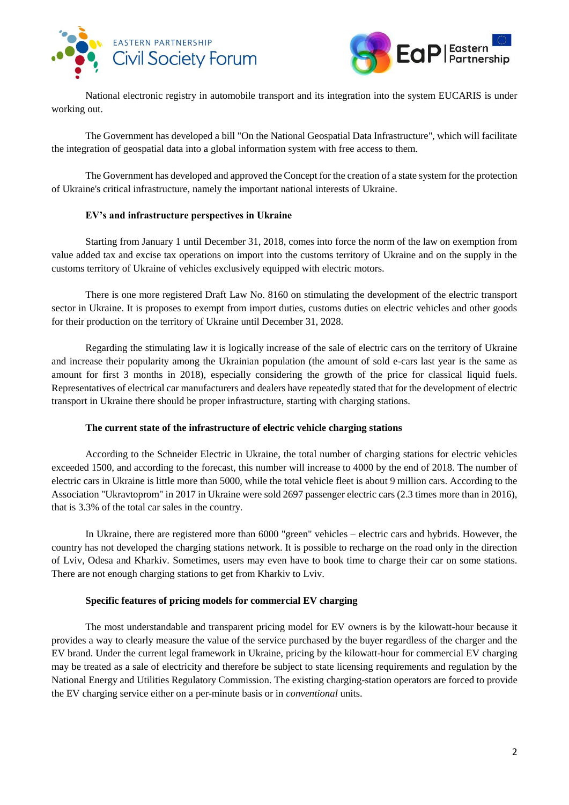



National electronic registry in automobile transport and its integration into the system EUCARIS is under working out.

The Government has developed a bill "On the National Geospatial Data Infrastructure", which will facilitate the integration of geospatial data into a global information system with free access to them.

The Government has developed and approved the Concept for the creation of a state system for the protection of Ukraine's critical infrastructure, namely the important national interests of Ukraine.

# **EV's and infrastructure perspectives in Ukraine**

Starting from January 1 until December 31, 2018, comes into force the norm of the law on exemption from value added tax and excise tax operations on import into the customs territory of Ukraine and on the supply in the customs territory of Ukraine of vehicles exclusively equipped with electric motors.

There is one more registered Draft Law No. 8160 on stimulating the development of the electric transport sector in Ukraine. It is proposes to exempt from import duties, customs duties on electric vehicles and other goods for their production on the territory of Ukraine until December 31, 2028.

Regarding the stimulating law it is logically increase of the sale of electric cars on the territory of Ukraine and increase their popularity among the Ukrainian population (the amount of sold e-cars last year is the same as amount for first 3 months in 2018), especially considering the growth of the price for classical liquid fuels. Representatives of electrical car manufacturers and dealers have repeatedly stated that for the development of electric transport in Ukraine there should be proper infrastructure, starting with charging stations.

### **The current state of the infrastructure of electric vehicle charging stations**

According to the Schneider Electric in Ukraine, the total number of charging stations for electric vehicles exceeded 1500, and according to the forecast, this number will increase to 4000 by the end of 2018. The number of electric cars in Ukraine is little more than 5000, while the total vehicle fleet is about 9 million cars. According to the Association "Ukravtoprom" in 2017 in Ukraine were sold 2697 passenger electric cars (2.3 times more than in 2016), that is 3.3% of the total car sales in the country.

In Ukraine, there are registered more than 6000 "green" vehicles – electric cars and hybrids. However, the country has not developed the charging stations network. It is possible to recharge on the road only in the direction of Lviv, Odesa and Kharkiv. Sometimes, users may even have to book time to charge their car on some stations. There are not enough charging stations to get from Kharkiv to Lviv.

### **Specific features of pricing models for commercial EV charging**

The most understandable and transparent pricing model for EV owners is by the kilowatt-hour because it provides a way to clearly measure the value of the service purchased by the buyer regardless of the charger and the EV brand. Under the current legal framework in Ukraine, pricing by the kilowatt-hour for commercial EV charging may be treated as a sale of electricity and therefore be subject to state licensing requirements and regulation by the National Energy and Utilities Regulatory Commission. The existing charging-station operators are forced to provide the EV charging service either on a per-minute basis or in *conventional* units.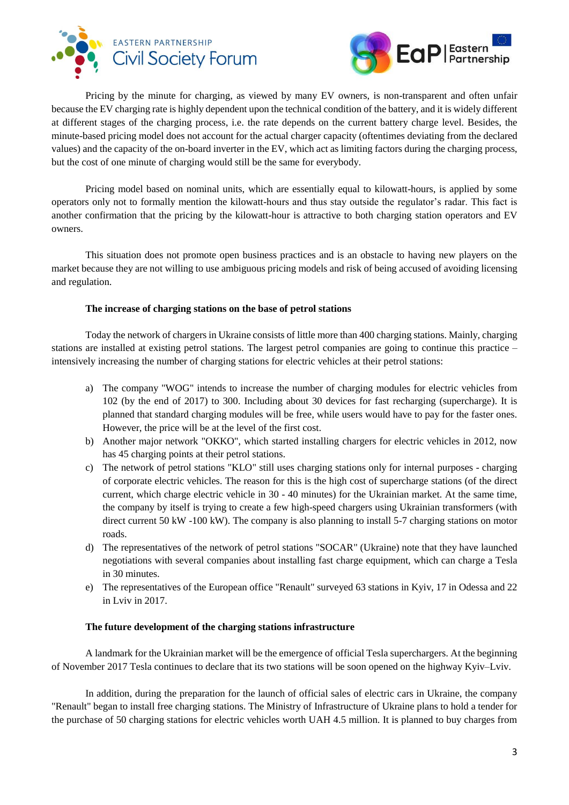



Pricing by the minute for charging, as viewed by many EV owners, is non-transparent and often unfair because the EV charging rate is highly dependent upon the technical condition of the battery, and it is widely different at different stages of the charging process, i.e. the rate depends on the current battery charge level. Besides, the minute-based pricing model does not account for the actual charger capacity (oftentimes deviating from the declared values) and the capacity of the on-board inverter in the EV, which act as limiting factors during the charging process, but the cost of one minute of charging would still be the same for everybody.

Pricing model based on nominal units, which are essentially equal to kilowatt-hours, is applied by some operators only not to formally mention the kilowatt-hours and thus stay outside the regulator's radar. This fact is another confirmation that the pricing by the kilowatt-hour is attractive to both charging station operators and EV owners.

This situation does not promote open business practices and is an obstacle to having new players on the market because they are not willing to use ambiguous pricing models and risk of being accused of avoiding licensing and regulation.

#### **The increase of charging stations on the base of petrol stations**

Today the network of chargers in Ukraine consists of little more than 400 charging stations. Mainly, charging stations are installed at existing petrol stations. The largest petrol companies are going to continue this practice – intensively increasing the number of charging stations for electric vehicles at their petrol stations:

- a) The company "WOG" intends to increase the number of charging modules for electric vehicles from 102 (by the end of 2017) to 300. Including about 30 devices for fast recharging (supercharge). It is planned that standard charging modules will be free, while users would have to pay for the faster ones. However, the price will be at the level of the first cost.
- b) Another major network "OKKO", which started installing chargers for electric vehicles in 2012, now has 45 charging points at their petrol stations.
- c) The network of petrol stations "KLO" still uses charging stations only for internal purposes charging of corporate electric vehicles. The reason for this is the high cost of supercharge stations (of the direct current, which charge electric vehicle in 30 - 40 minutes) for the Ukrainian market. At the same time, the company by itself is trying to create a few high-speed chargers using Ukrainian transformers (with direct current 50 kW -100 kW). The company is also planning to install 5-7 charging stations on motor roads.
- d) The representatives of the network of petrol stations "SOCAR" (Ukraine) note that they have launched negotiations with several companies about installing fast charge equipment, which can charge a Tesla in 30 minutes.
- e) The representatives of the European office "Renault" surveyed 63 stations in Kyiv, 17 in Odessa and 22 in Lviv in 2017.

#### **The future development of the charging stations infrastructure**

A landmark for the Ukrainian market will be the emergence of official Tesla superchargers. At the beginning of November 2017 Tesla continues to declare that its two stations will be soon opened on the highway Kyiv–Lviv.

In addition, during the preparation for the launch of official sales of electric cars in Ukraine, the company "Renault" began to install free charging stations. The Ministry of Infrastructure of Ukraine plans to hold a tender for the purchase of 50 charging stations for electric vehicles worth UAH 4.5 million. It is planned to buy charges from